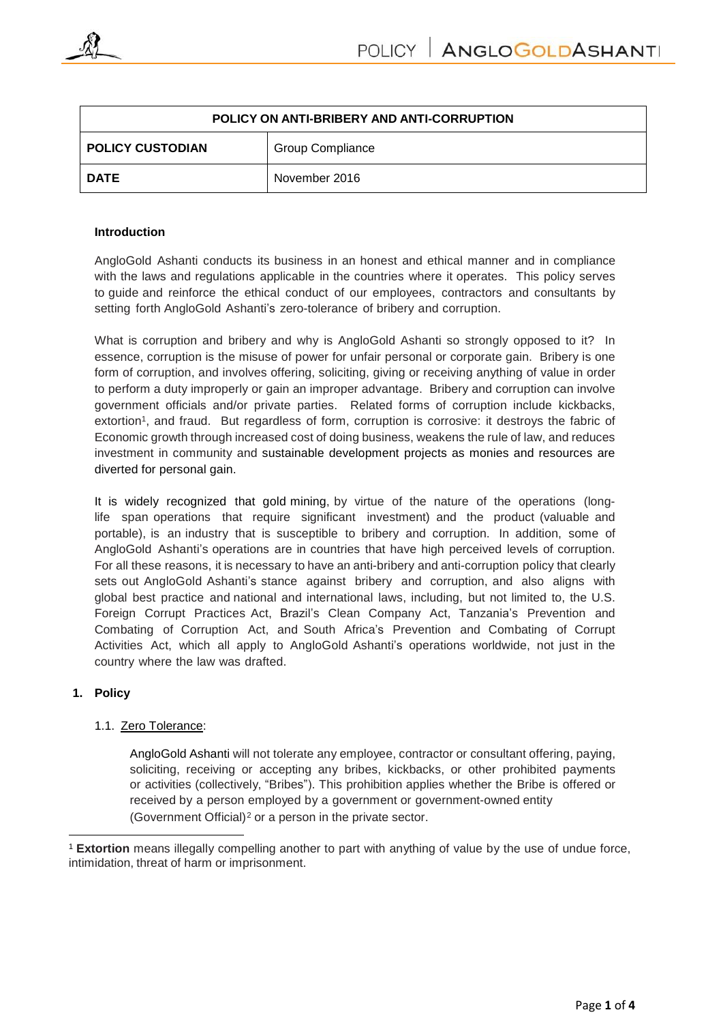

| POLICY ON ANTI-BRIBERY AND ANTI-CORRUPTION |                         |
|--------------------------------------------|-------------------------|
| <b>POLICY CUSTODIAN</b>                    | <b>Group Compliance</b> |
| <b>DATE</b>                                | November 2016           |

#### **Introduction**

AngloGold Ashanti conducts its business in an honest and ethical manner and in compliance with the laws and regulations applicable in the countries where it operates. This policy serves to guide and reinforce the ethical conduct of our employees, contractors and consultants by setting forth AngloGold Ashanti's zero-tolerance of bribery and corruption.

What is corruption and bribery and why is AngloGold Ashanti so strongly opposed to it? In essence, corruption is the misuse of power for unfair personal or corporate gain. Bribery is one form of corruption, and involves offering, soliciting, giving or receiving anything of value in order to perform a duty improperly or gain an improper advantage. Bribery and corruption can involve government officials and/or private parties. Related forms of corruption include kickbacks, extortion<sup>1</sup>, and fraud. But regardless of form, corruption is corrosive: it destroys the fabric of Economic growth through increased cost of doing business, weakens the rule of law, and reduces investment in community and sustainable development projects as monies and resources are diverted for personal gain.

It is widely recognized that gold mining, by virtue of the nature of the operations (longlife span operations that require significant investment) and the product (valuable and portable), is an industry that is susceptible to bribery and corruption. In addition, some of AngloGold Ashanti's operations are in countries that have high perceived levels of corruption. For all these reasons, it is necessary to have an anti-bribery and anti-corruption policy that clearly sets out AngloGold Ashanti's stance against bribery and corruption, and also aligns with global best practice and national and international laws, including, but not limited to, the U.S. Foreign Corrupt Practices Act, Brazil's Clean Company Act, Tanzania's Prevention and Combating of Corruption Act, and South Africa's Prevention and Combating of Corrupt Activities Act, which all apply to AngloGold Ashanti's operations worldwide, not just in the country where the law was drafted.

### **1. Policy**

### 1.1. Zero Tolerance:

AngloGold Ashanti will not tolerate any employee, contractor or consultant offering, paying, soliciting, receiving or accepting any bribes, kickbacks, or other prohibited payments or activities (collectively, "Bribes"). This prohibition applies whether the Bribe is offered or received by a person employed by a government or government-owned entity (Government Official) <sup>2</sup> or a person in the private sector.

 $\overline{\phantom{a}}$ <sup>1</sup> **Extortion** means illegally compelling another to part with anything of value by the use of undue force, intimidation, threat of harm or imprisonment.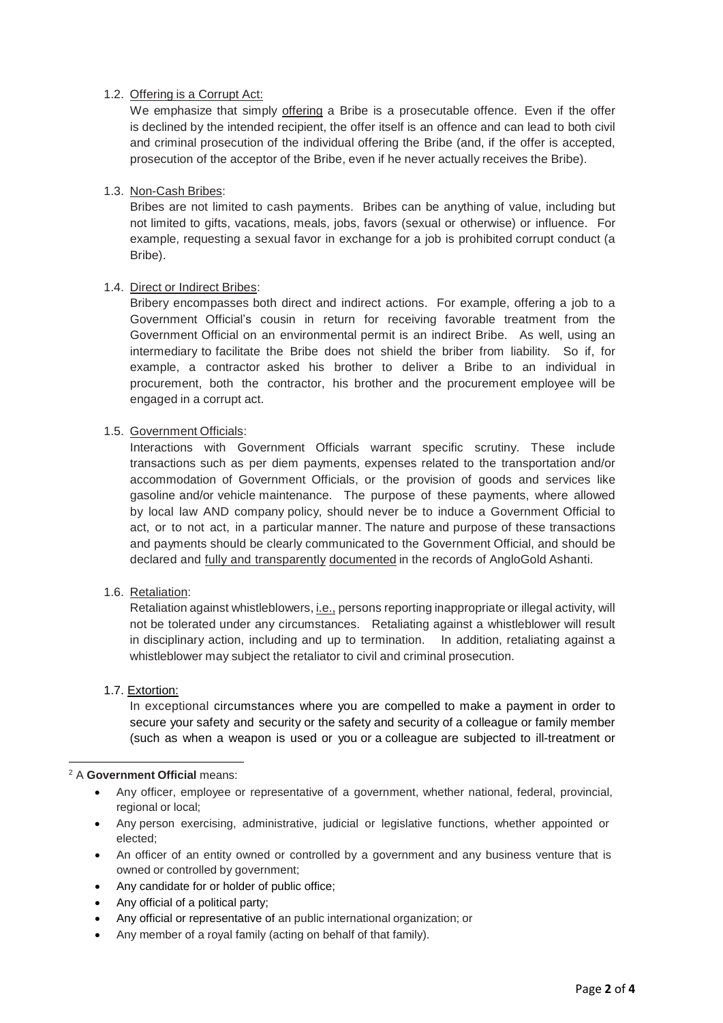## 1.2. Offering is a Corrupt Act:

We emphasize that simply offering a Bribe is a prosecutable offence. Even if the offer is declined by the intended recipient, the offer itself is an offence and can lead to both civil and criminal prosecution of the individual offering the Bribe (and, if the offer is accepted, prosecution of the acceptor of the Bribe, even if he never actually receives the Bribe).

### 1.3. Non-Cash Bribes:

Bribes are not limited to cash payments. Bribes can be anything of value, including but not limited to gifts, vacations, meals, jobs, favors (sexual or otherwise) or influence. For example, requesting a sexual favor in exchange for a job is prohibited corrupt conduct (a Bribe).

### 1.4. Direct or Indirect Bribes:

Bribery encompasses both direct and indirect actions. For example, offering a job to a Government Official's cousin in return for receiving favorable treatment from the Government Official on an environmental permit is an indirect Bribe. As well, using an intermediary to facilitate the Bribe does not shield the briber from liability. So if, for example, a contractor asked his brother to deliver a Bribe to an individual in procurement, both the contractor, his brother and the procurement employee will be engaged in a corrupt act.

### 1.5. Government Officials:

Interactions with Government Officials warrant specific scrutiny. These include transactions such as per diem payments, expenses related to the transportation and/or accommodation of Government Officials, or the provision of goods and services like gasoline and/or vehicle maintenance. The purpose of these payments, where allowed by local law AND company policy, should never be to induce a Government Official to act, or to not act, in a particular manner. The nature and purpose of these transactions and payments should be clearly communicated to the Government Official, and should be declared and fully and transparently documented in the records of AngloGold Ashanti.

### 1.6. Retaliation:

Retaliation against whistleblowers, *i.e.*, persons reporting inappropriate or illegal activity, will not be tolerated under any circumstances. Retaliating against a whistleblower will result in disciplinary action, including and up to termination. In addition, retaliating against a whistleblower may subject the retaliator to civil and criminal prosecution.

### 1.7. Extortion:

In exceptional circumstances where you are compelled to make a payment in order to secure your safety and security or the safety and security of a colleague or family member (such as when a weapon is used or you or a colleague are subjected to ill-treatment or

#### **.** <sup>2</sup> A **Government Official** means:

- Any officer, employee or representative of a government, whether national, federal, provincial, regional or local;
- Any person exercising, administrative, judicial or legislative functions, whether appointed or elected;
- An officer of an entity owned or controlled by a government and any business venture that is owned or controlled by government;
- Any candidate for or holder of public office;
- Any official of a political party;
- Any official or representative of an public international organization; or
- Any member of a royal family (acting on behalf of that family).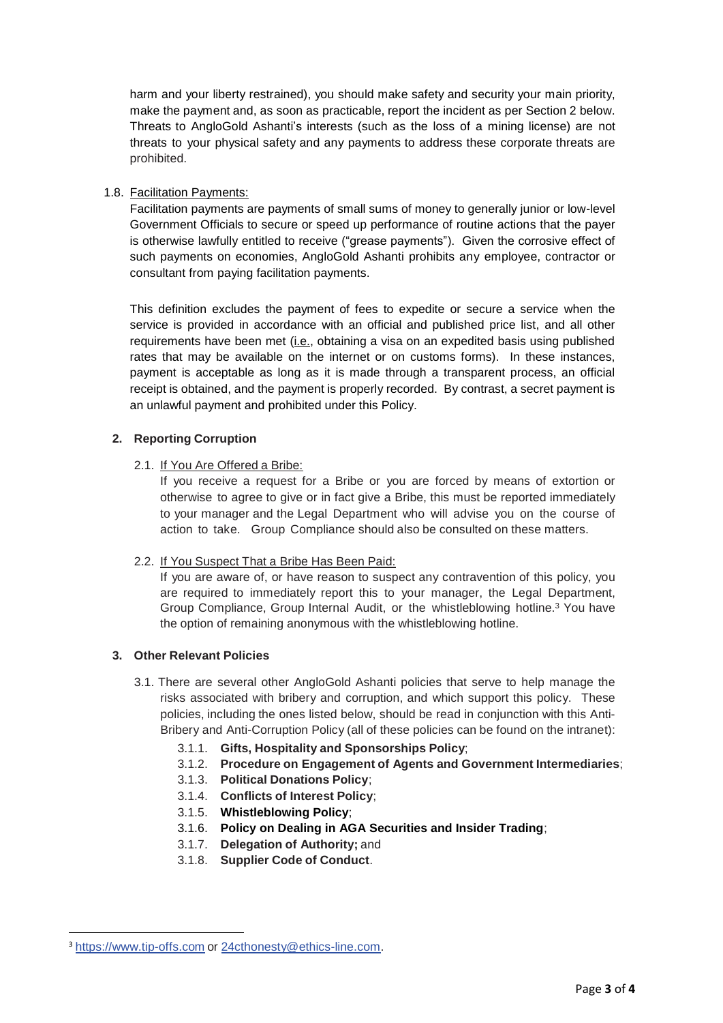harm and your liberty restrained), you should make safety and security your main priority, make the payment and, as soon as practicable, report the incident as per Section 2 below. Threats to AngloGold Ashanti's interests (such as the loss of a mining license) are not threats to your physical safety and any payments to address these corporate threats are prohibited.

## 1.8. Facilitation Payments:

Facilitation payments are payments of small sums of money to generally junior or low-level Government Officials to secure or speed up performance of routine actions that the payer is otherwise lawfully entitled to receive ("grease payments"). Given the corrosive effect of such payments on economies, AngloGold Ashanti prohibits any employee, contractor or consultant from paying facilitation payments.

This definition excludes the payment of fees to expedite or secure a service when the service is provided in accordance with an official and published price list, and all other requirements have been met (i.e., obtaining a visa on an expedited basis using published rates that may be available on the internet or on customs forms). In these instances, payment is acceptable as long as it is made through a transparent process, an official receipt is obtained, and the payment is properly recorded. By contrast, a secret payment is an unlawful payment and prohibited under this Policy.

### **2. Reporting Corruption**

### 2.1. If You Are Offered a Bribe:

If you receive a request for a Bribe or you are forced by means of extortion or otherwise to agree to give or in fact give a Bribe, this must be reported immediately to your manager and the Legal Department who will advise you on the course of action to take. Group Compliance should also be consulted on these matters.

### 2.2. If You Suspect That a Bribe Has Been Paid:

If you are aware of, or have reason to suspect any contravention of this policy, you are required to immediately report this to your manager, the Legal Department, Group Compliance, Group Internal Audit, or the whistleblowing hotline.<sup>3</sup> You have the option of remaining anonymous with the whistleblowing hotline.

# **3. Other Relevant Policies**

- 3.1. There are several other AngloGold Ashanti policies that serve to help manage the risks associated with bribery and corruption, and which support this policy. These policies, including the ones listed below, should be read in conjunction with this Anti-Bribery and Anti-Corruption Policy (all of these policies can be found on the intranet):
	- 3.1.1. **Gifts, Hospitality and Sponsorships Policy**;
	- 3.1.2. **Procedure on Engagement of Agents and Government Intermediaries**;
	- 3.1.3. **Political Donations Policy**;
	- 3.1.4. **Conflicts of Interest Policy**;
	- 3.1.5. **Whistleblowing Policy**;
	- 3.1.6. **Policy on Dealing in AGA Securities and Insider Trading**;
	- 3.1.7. **Delegation of Authority;** and
	- 3.1.8. **Supplier Code of Conduct**. 1

**.** 

<sup>3</sup> https:/[/www.tip-offs.com](http://www.tip-offs.com/) or [24cthonesty@ethics-line.com.](mailto:24cthonesty@ethics-line.com)